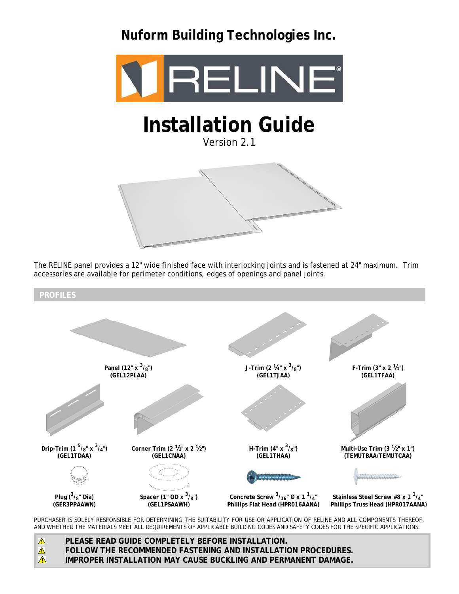**Nuform Building Technologies Inc.** 



# **Installation Guide**

Version 2.1



The RELINE panel provides a 12" wide finished face with interlocking joints and is fastened at 24" maximum. Trim accessories are available for perimeter conditions, edges of openings and panel joints.



PURCHASER IS SOLELY RESPONSIBLE FOR DETERMINING THE SUITABILITY FOR USE OR APPLICATION OF RELINE AND ALL COMPONENTS THEREOF, AND WHETHER THE MATERIALS MEET ALL REQUIREMENTS OF APPLICABLE BUILDING CODES AND SAFETY CODES FOR THE SPECIFIC APPLICATIONS.

 $\triangle$ **PLEASE READ GUIDE COMPLETELY BEFORE INSTALLATION.**  $\triangle$ **FOLLOW THE RECOMMENDED FASTENING AND INSTALLATION PROCEDURES.**  $\triangle$ **IMPROPER INSTALLATION MAY CAUSE BUCKLING AND PERMANENT DAMAGE.**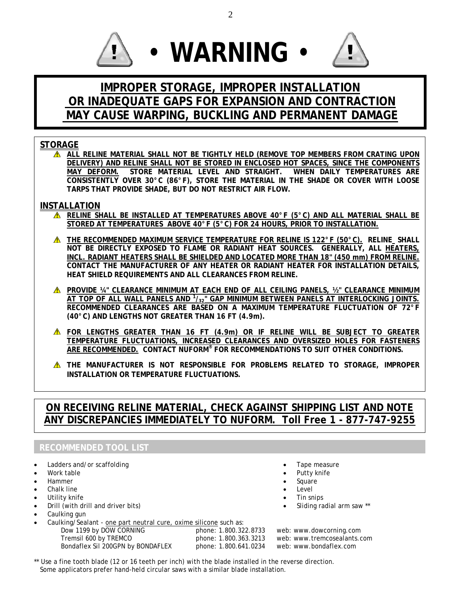





# **IMPROPER STORAGE, IMPROPER INSTALLATION OR INADEQUATE GAPS FOR EXPANSION AND CONTRACTION MAY CAUSE WARPING, BUCKLING AND PERMANENT DAMAGE**

## **STORAGE**

**ALL RELINE MATERIAL SHALL NOT BE TIGHTLY HELD (REMOVE TOP MEMBERS FROM CRATING UPON DELIVERY) AND RELINE SHALL NOT BE STORED IN ENCLOSED HOT SPACES, SINCE THE COMPONENTS MAY DEFORM. STORE MATERIAL LEVEL AND STRAIGHT. WHEN DAILY TEMPERATURES ARE CONSISTENTLY OVER 30°C (86°F), STORE THE MATERIAL IN THE SHADE OR COVER WITH LOOSE TARPS THAT PROVIDE SHADE, BUT DO NOT RESTRICT AIR FLOW.** 

### **INSTALLATION**

- **RELINE SHALL BE INSTALLED AT TEMPERATURES ABOVE 40°F (5°C) AND ALL MATERIAL SHALL BE STORED AT TEMPERATURES ABOVE 40°F (5°C) FOR 24 HOURS, PRIOR TO INSTALLATION.**
- **THE RECOMMENDED MAXIMUM SERVICE TEMPERATURE FOR RELINE IS 122°F (50°C). RELINE SHALL NOT BE DIRECTLY EXPOSED TO FLAME OR RADIANT HEAT SOURCES. GENERALLY, ALL HEATERS, INCL. RADIANT HEATERS SHALL BE SHIELDED AND LOCATED MORE THAN 18" (450 mm) FROM RELINE. CONTACT THE MANUFACTURER OF ANY HEATER OR RADIANT HEATER FOR INSTALLATION DETAILS, HEAT SHIELD REQUIREMENTS AND ALL CLEARANCES FROM RELINE.**
- **A** PROVIDE 14" CLEARANCE MINIMUM AT EACH END OF ALL CEILING PANELS, 12" CLEARANCE MINIMUM **AT TOP OF ALL WALL PANELS AND <sup>1</sup> /32" GAP MINIMUM BETWEEN PANELS AT INTERLOCKING JOINTS. RECOMMENDED CLEARANCES ARE BASED ON A MAXIMUM TEMPERATURE FLUCTUATION OF 72°F (40°C) AND LENGTHS NOT GREATER THAN 16 FT (4.9m).**
- **FOR LENGTHS GREATER THAN 16 FT (4.9m) OR IF RELINE WILL BE SUBJECT TO GREATER TEMPERATURE FLUCTUATIONS, INCREASED CLEARANCES AND OVERSIZED HOLES FOR FASTENERS ARE RECOMMENDED. CONTACT NUFORM® FOR RECOMMENDATIONS TO SUIT OTHER CONDITIONS.**
- **THE MANUFACTURER IS NOT RESPONSIBLE FOR PROBLEMS RELATED TO STORAGE, IMPROPER INSTALLATION OR TEMPERATURE FLUCTUATIONS.**

## **ON RECEIVING RELINE MATERIAL, CHECK AGAINST SHIPPING LIST AND NOTE ANY DISCREPANCIES IMMEDIATELY TO NUFORM. Toll Free 1 - 877-747-9255**

## **RECOMMENDED TOOL LIST**

- Ladders and/or scaffolding
- Work table
- Hammer
- Chalk line
- Utility knife
- Drill (with drill and driver bits)
- Caulking gun
- Caulking/Sealant one part neutral cure, oxime silicone such as: Dow 1199 by DOW CORNING<br>
Dow 1199 by DOW CORNING<br>
Tremsil 600 by TREMCO<br>
phone: 1.800.363.3213 web: www.tremcosealants.c
- Tape measure Putty knife
- **Square**
- **Level**
- Tin snips
- Sliding radial arm saw \*\*

phone: 1.800.363.3213 web: www.tremcosealants.com<br>phone: 1.800.641.0234 web: www.bondaflex.com Bondaflex Sil 200GPN by BONDAFLEX phone: 1.800.641.0234 web: www.bondaflex.com

\*\* Use a fine tooth blade (12 or 16 teeth per inch) with the blade installed in the reverse direction. Some applicators prefer hand-held circular saws with a similar blade installation.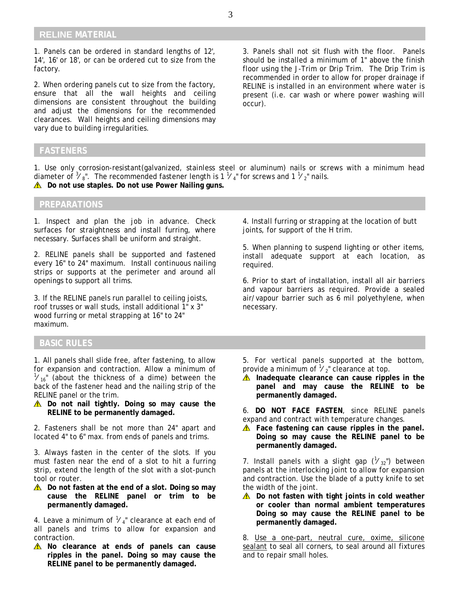#### **RELINE MATERIAL**

1. Panels can be ordered in standard lengths of 12', 14', 16' or 18', or can be ordered cut to size from the factory.

2. When ordering panels cut to size from the factory, ensure that all the wall heights and ceiling dimensions are consistent throughout the building and adjust the dimensions for the recommended clearances. Wall heights and ceiling dimensions may vary due to building irregularities.

3. Panels shall not sit flush with the floor. Panels should be installed a minimum of 1" above the finish floor using the J-Trim or Drip Trim. The Drip Trim is recommended in order to allow for proper drainage if RELINE is installed in an environment where water is present (i.e. car wash or where power washing will occur).

#### **FASTENERS**

1. Use only corrosion-resistant(galvanized, stainless steel or aluminum) nails or screws with a minimum head diameter of  $\frac{3}{8}$ ". The recommended fastener length is 1  $\frac{1}{4}$ " for screws and 1  $\frac{1}{2}$ " nails. **Do not use staples. Do not use Power Nailing guns.** 

#### **PREPARATIONS**

1. Inspect and plan the job in advance. Check surfaces for straightness and install furring, where necessary. Surfaces shall be uniform and straight.

2. RELINE panels shall be supported and fastened every 16" to 24" maximum. Install continuous nailing strips or supports at the perimeter and around all openings to support all trims.

3. If the RELINE panels run parallel to ceiling joists, roof trusses or wall studs, install additional 1" x 3" wood furring or metal strapping at 16" to 24" maximum.

#### **BASIC RULES**

1. All panels shall slide free, after fastening, to allow for expansion and contraction. Allow a minimum of  $\frac{1}{16}$ " (about the thickness of a dime) between the back of the fastener head and the nailing strip of the RELINE panel or the trim.

 $\triangle$  Do not nail tightly. Doing so may cause the **RELINE to be permanently damaged.** 

2. Fasteners shall be not more than 24" apart and located 4" to 6" max. from ends of panels and trims.

3. Always fasten in the center of the slots. If you must fasten near the end of a slot to hit a furring strip, extend the length of the slot with a slot-punch tool or router.

 $\triangle$  Do not fasten at the end of a slot. Doing so may **cause the RELINE panel or trim to be permanently damaged.** 

4. Leave a minimum of  $\mathcal{V}_4$ " clearance at each end of all panels and trims to allow for expansion and contraction.

 $\triangle$  No clearance at ends of panels can cause **ripples in the panel. Doing so may cause the RELINE panel to be permanently damaged.** 

4. Install furring or strapping at the location of butt joints, for support of the H trim.

5. When planning to suspend lighting or other items, install adequate support at each location, as required.

6. Prior to start of installation, install all air barriers and vapour barriers as required. Provide a sealed air/vapour barrier such as 6 mil polyethylene, when necessary.

5. For vertical panels supported at the bottom, provide a minimum of  $\frac{1}{2}$  clearance at top.

**A** Inadequate clearance can cause ripples in the **panel and may cause the RELINE to be permanently damaged.** 

6. **DO NOT FACE FASTEN**, since RELINE panels expand and contract with temperature changes.

**Face fastening can cause ripples in the panel. Doing so may cause the RELINE panel to be permanently damaged.** 

7. Install panels with a slight gap  $(\mathcal{V}_{32})$  between panels at the interlocking joint to allow for expansion and contraction. Use the blade of a putty knife to set the width of the joint.

 $\triangle$  Do not fasten with tight joints in cold weather **or cooler than normal ambient temperatures Doing so may cause the RELINE panel to be permanently damaged.** 

8. Use a one-part, neutral cure, oxime, silicone sealant to seal all corners, to seal around all fixtures and to repair small holes.